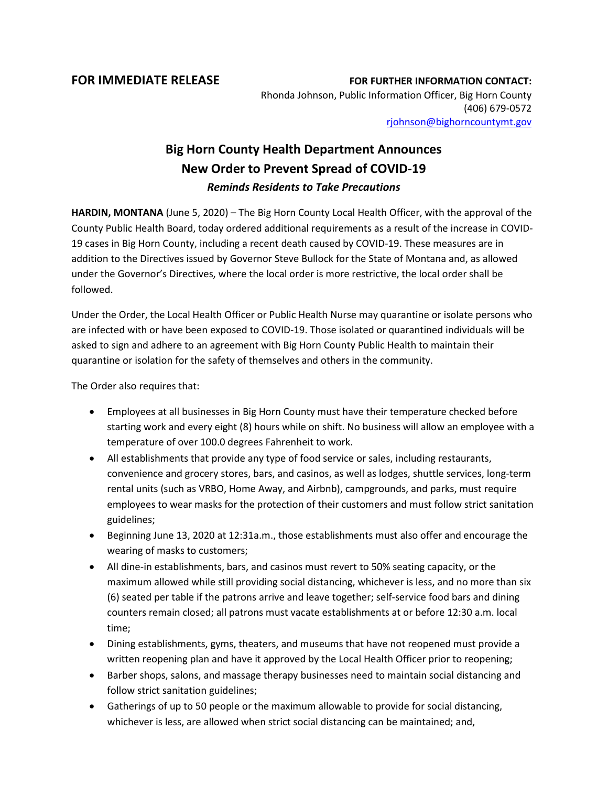**FOR IMMEDIATE RELEASE FOR FURTHER INFORMATION CONTACT:** Rhonda Johnson, Public Information Officer, Big Horn County (406) 679-0572 [rjohnson@bighorncountymt.gov](mailto:rjohnson@bighorncountymt.gov)

## **Big Horn County Health Department Announces New Order to Prevent Spread of COVID-19** *Reminds Residents to Take Precautions*

**HARDIN, MONTANA** (June 5, 2020) – The Big Horn County Local Health Officer, with the approval of the County Public Health Board, today ordered additional requirements as a result of the increase in COVID-19 cases in Big Horn County, including a recent death caused by COVID-19. These measures are in addition to the Directives issued by Governor Steve Bullock for the State of Montana and, as allowed under the Governor's Directives, where the local order is more restrictive, the local order shall be followed.

Under the Order, the Local Health Officer or Public Health Nurse may quarantine or isolate persons who are infected with or have been exposed to COVID-19. Those isolated or quarantined individuals will be asked to sign and adhere to an agreement with Big Horn County Public Health to maintain their quarantine or isolation for the safety of themselves and others in the community.

The Order also requires that:

- Employees at all businesses in Big Horn County must have their temperature checked before starting work and every eight (8) hours while on shift. No business will allow an employee with a temperature of over 100.0 degrees Fahrenheit to work.
- All establishments that provide any type of food service or sales, including restaurants, convenience and grocery stores, bars, and casinos, as well as lodges, shuttle services, long-term rental units (such as VRBO, Home Away, and Airbnb), campgrounds, and parks, must require employees to wear masks for the protection of their customers and must follow strict sanitation guidelines;
- Beginning June 13, 2020 at 12:31a.m., those establishments must also offer and encourage the wearing of masks to customers;
- All dine-in establishments, bars, and casinos must revert to 50% seating capacity, or the maximum allowed while still providing social distancing, whichever is less, and no more than six (6) seated per table if the patrons arrive and leave together; self-service food bars and dining counters remain closed; all patrons must vacate establishments at or before 12:30 a.m. local time;
- Dining establishments, gyms, theaters, and museums that have not reopened must provide a written reopening plan and have it approved by the Local Health Officer prior to reopening;
- Barber shops, salons, and massage therapy businesses need to maintain social distancing and follow strict sanitation guidelines;
- Gatherings of up to 50 people or the maximum allowable to provide for social distancing, whichever is less, are allowed when strict social distancing can be maintained; and,